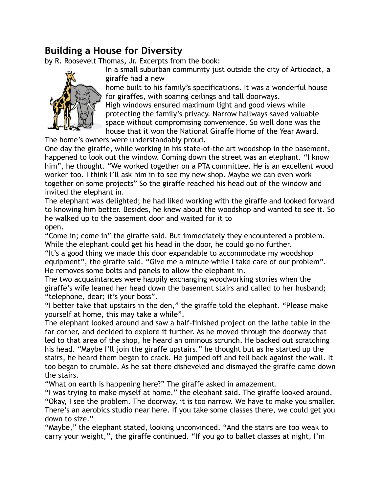# **Building a House for Diversity**

by R. Roosevelt Thomas, Jr. Excerpts from the book:



In a small suburban community just outside the city of Artiodact, a giraffe had a new

home built to his family's specifications. It was a wonderful house for giraffes, with soaring ceilings and tall doorways.

High windows ensured maximum light and good views while protecting the family's privacy. Narrow hallways saved valuable space without compromising convenience. So well done was the house that it won the National Giraffe Home of the Year Award.

The home's owners were understandably proud.

One day the giraffe, while working in his state-of-the art woodshop in the basement, happened to look out the window. Coming down the street was an elephant. "I know him", he thought. "We worked together on a PTA committee. He is an excellent wood worker too. I think I'll ask him in to see my new shop. Maybe we can even work together on some projects" So the giraffe reached his head out of the window and invited the elephant in.

The elephant was delighted; he had liked working with the giraffe and looked forward to knowing him better. Besides, he knew about the woodshop and wanted to see it. So he walked up to the basement door and waited for it to open.

"Come in; come in" the giraffe said. But immediately they encountered a problem. While the elephant could get his head in the door, he could go no further.

"It's a good thing we made this door expandable to accommodate my woodshop equipment", the giraffe said. "Give me a minute while I take care of our problem". He removes some bolts and panels to allow the elephant in.

The two acquaintances were happily exchanging woodworking stories when the giraffe's wife leaned her head down the basement stairs and called to her husband; "telephone, dear; it's your boss".

"I better take that upstairs in the den," the giraffe told the elephant. "Please make yourself at home, this may take a while".

The elephant looked around and saw a half-finished project on the lathe table in the far corner, and decided to explore it further. As he moved through the doorway that led to that area of the shop, he heard an ominous scrunch. He backed out scratching his head. "Maybe I'll join the giraffe upstairs." he thought but as he started up the stairs, he heard them began to crack. He jumped off and fell back against the wall. It too began to crumble. As he sat there disheveled and dismayed the giraffe came down the stairs.

"What on earth is happening here?" The giraffe asked in amazement.

"I was trying to make myself at home," the elephant said. The giraffe looked around, "Okay, I see the problem. The doorway, it is too narrow. We have to make you smaller. There's an aerobics studio near here. If you take some classes there, we could get you down to size."

"Maybe," the elephant stated, looking unconvinced. "And the stairs are too weak to carry your weight,", the giraffe continued. "If you go to ballet classes at night, I'm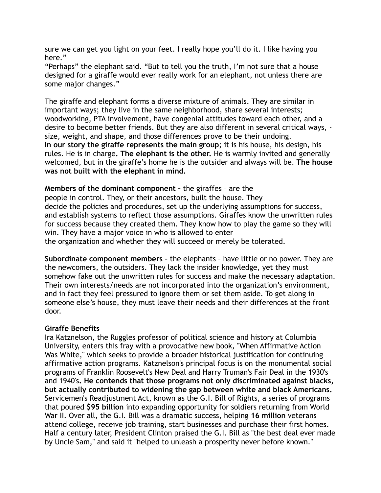sure we can get you light on your feet. I really hope you'll do it. I like having you here."

"Perhaps" the elephant said. "But to tell you the truth, I'm not sure that a house designed for a giraffe would ever really work for an elephant, not unless there are some major changes."

The giraffe and elephant forms a diverse mixture of animals. They are similar in important ways; they live in the same neighborhood, share several interests; woodworking, PTA involvement, have congenial attitudes toward each other, and a desire to become better friends. But they are also different in several critical ways, size, weight, and shape, and those differences prove to be their undoing. **In our story the giraffe represents the main group**; it is his house, his design, his rules. He is in charge**. The elephant is the other.** He is warmly invited and generally welcomed, but in the giraffe's home he is the outsider and always will be. **The house was not built with the elephant in mind.** 

**Members of the dominant component –** the giraffes – are the people in control. They, or their ancestors, built the house. They decide the policies and procedures, set up the underlying assumptions for success, and establish systems to reflect those assumptions. Giraffes know the unwritten rules for success because they created them. They know how to play the game so they will win. They have a major voice in who is allowed to enter the organization and whether they will succeed or merely be tolerated.

**Subordinate component members –** the elephants – have little or no power. They are the newcomers, the outsiders. They lack the insider knowledge, yet they must somehow fake out the unwritten rules for success and make the necessary adaptation. Their own interests/needs are not incorporated into the organization's environment, and in fact they feel pressured to ignore them or set them aside. To get along in someone else's house, they must leave their needs and their differences at the front door.

#### **Giraffe Benefits**

Ira Katznelson, the Ruggles professor of political science and history at Columbia University, enters this fray with a provocative new book, "When Affirmative Action Was White," which seeks to provide a broader historical justification for continuing affirmative action programs. Katznelson's principal focus is on the monumental social programs of Franklin Roosevelt's New Deal and Harry Truman's Fair Deal in the 1930's and 1940's**. He contends that those programs not only discriminated against blacks, but actually contributed to widening the gap between white and black Americans.** Servicemen's Readjustment Act, known as the G.I. Bill of Rights, a series of programs that poured **\$95 billion** into expanding opportunity for soldiers returning from World War II. Over all, the G.I. Bill was a dramatic success, helping **16 million** veterans attend college, receive job training, start businesses and purchase their first homes. Half a century later, President Clinton praised the G.I. Bill as "the best deal ever made by Uncle Sam," and said it "helped to unleash a prosperity never before known."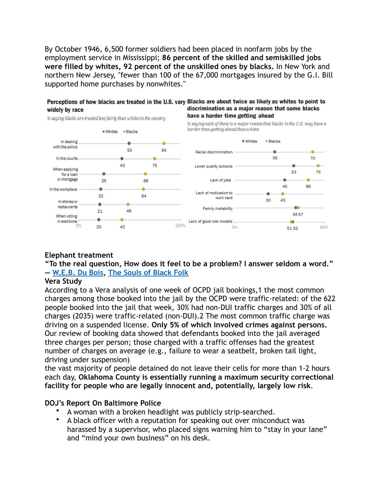By October 1946, 6,500 former soldiers had been placed in nonfarm jobs by the employment service in Mississippi; **86 percent of the skilled and semiskilled jobs were filled by whites, 92 percent of the unskilled ones by blacks.** In New York and northern New Jersey, "fewer than 100 of the 67,000 mortgages insured by the G.I. Bill supported home purchases by nonwhites."



### **Elephant treatment**

**"To the real question, How does it feel to be a problem? I answer seldom a word." ― [W.E.B. Du Bois,](https://www.goodreads.com/author/show/10710.W_E_B_Du_Bois) [The Souls of Black Folk](https://www.goodreads.com/work/quotes/1137159)**

#### **Vera Study**

According to a Vera analysis of one week of OCPD jail bookings,1 the most common charges among those booked into the jail by the OCPD were traffic-related: of the 622 people booked into the jail that week, 30% had non-DUI traffic charges and 30% of all charges (2035) were traffic-related (non-DUI).2 The most common traffic charge was driving on a suspended license. **Only 5% of which involved crimes against persons.**  Our review of booking data showed that defendants booked into the jail averaged three charges per person; those charged with a traffic offenses had the greatest number of charges on average (e.g., failure to wear a seatbelt, broken tail light, driving under suspension)

the vast majority of people detained do not leave their cells for more than 1-2 hours each day, **Oklahoma County is essentially running a maximum security correctional facility for people who are legally innocent and, potentially, largely low risk**.

#### **DOJ's Report On Baltimore Police**

- A woman with a broken headlight was publicly strip-searched.
- A black officer with a reputation for speaking out over misconduct was harassed by a supervisor, who placed signs warning him to "stay in your lane" and "mind your own business" on his desk.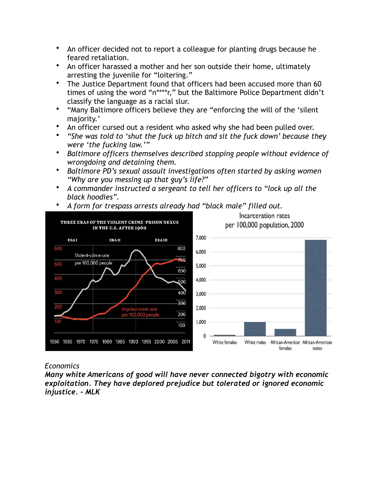- An officer decided not to report a colleague for planting drugs because he feared retaliation.
- An officer harassed a mother and her son outside their home, ultimately arresting the juvenile for "loitering."
- The Justice Department found that officers had been accused more than 60 times of using the word "n\*\*\*\*r," but the Baltimore Police Department didn't classify the language as a racial slur.
- "Many Baltimore officers believe they are "enforcing the will of the 'silent majority.'
- An officer cursed out a resident who asked why she had been pulled over.
- *"She was told to 'shut the fuck up bitch and sit the fuck down' because they were 'the fucking law.'"*
- *Baltimore officers themselves described stopping people without evidence of wrongdoing and detaining them.*
- *Baltimore PD's sexual assault investigations often started by asking women "Why are you messing up that guy's life?"*
- *A commander instructed a sergeant to tell her officers to "lock up all the black hoodies".*
- *A form for trespass arrests already had "black male" filled out.*



## *Economics*

*Many white Americans of good will have never connected bigotry with economic exploitation. They have deplored prejudice but tolerated or ignored economic injustice. - MLK*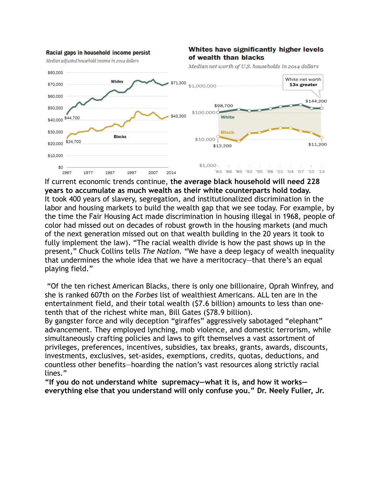

If current economic trends continue, **the average black household will need 228 years to accumulate as much wealth as their white counterparts hold today.** It took 400 years of slavery, segregation, and institutionalized discrimination in the labor and housing markets to build the wealth gap that we see today. For example, by the time the Fair Housing Act made discrimination in housing illegal in 1968, people of color had missed out on decades of robust growth in the housing markets (and much of the next generation missed out on that wealth building in the 20 years it took to fully implement the law). "The racial wealth divide is how the past shows up in the present," Chuck Collins tells *The Nation.* "We have a deep legacy of wealth inequality that undermines the whole idea that we have a meritocracy—that there's an equal playing field."

 "Of the ten richest American Blacks, there is only one billionaire, Oprah Winfrey, and she is ranked 607th on the *Forbes* list of wealthiest Americans. ALL ten are in the entertainment field, and their total wealth (\$7.6 billion) amounts to less than onetenth that of the richest white man, Bill Gates (\$78.9 billion).

By gangster force and wily deception "giraffes" aggressively sabotaged "elephant" advancement. They employed lynching, mob violence, and domestic terrorism, while simultaneously crafting policies and laws to gift themselves a vast assortment of privileges, preferences, incentives, subsidies, tax breaks, grants, awards, discounts, investments, exclusives, set-asides, exemptions, credits, quotas, deductions, and countless other benefits—hoarding the nation's vast resources along strictly racial lines."

**"If you do not understand white supremacy—what it is, and how it works everything else that you understand will only confuse you." Dr. Neely Fuller, Jr.**